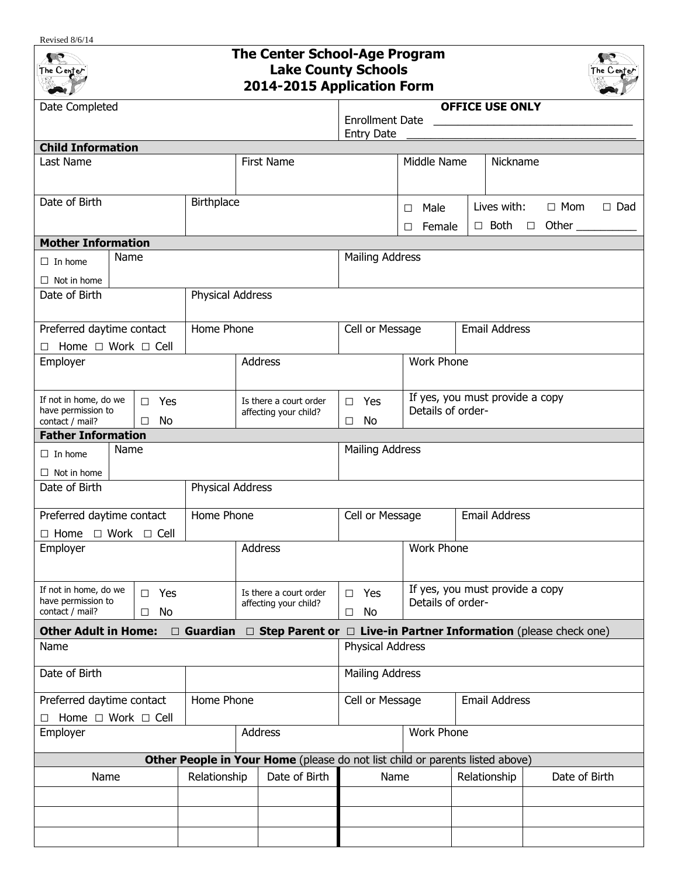## Revised 8/6/14 **The Center School-Age Program Canadian Lake County Schools** The Center he Cente **2014-2015 Application Form** Date Completed **OFFICE USE ONLY** Enrollment Date Entry Date **Child Information** Last Name | First Name | Middle Name | Nickname Date of Birth **Birthplace** △ Date of Birthplace △ Date of Birthplace △ Date of Birthplace △ Date of Birthplace △ Date of Birthplace △ Date of Birthplace △ Date of Birthplace △ Date of Birthplace △ Date of Birthplace △ Dat Lives with: □ Mom □ Dad □ Female □ Both □ Other **Mother Information** Name Mailing Address □ In home □ Not in home Date of Birth **Physical Address** Preferred daytime contact Home Phone **Cell or Message** Email Address □ Home □ Work □ Cell Employer **Address** Address Work Phone If yes, you must provide a copy If not in home, do we Is there a court order □ Yes □ Yes have permission to Details of orderaffecting your child? □ No □ No contact / mail? **Father Information** Name **Mailing Address**  $\Box$  In home □ Not in home Date of Birth **Physical Address** Preferred daytime contact Home Phone **Cell or Message** Email Address □ Home □ Work □ Cell Employer and Address and Address North Phone (North Phone 2016) If yes, you must provide a copy If not in home, do we □ Yes □ Yes Is there a court order have permission to Details of orderaffecting your child? contact / mail? □ No □ No **Other Adult in Home:** □ **Guardian** □ **Step Parent or** □ **Live-in Partner Information** (please check one) Name Physical Address Date of Birth **Mailing Address** Preferred daytime contact Home Phone **Cell or Message** | Email Address □ Home □ Work □ Cell Employer | Address | Work Phone **Other People in Your Home** (please do not list child or parents listed above) Name  $\parallel$  Relationship | Date of Birth Name | Relationship | Date of Birth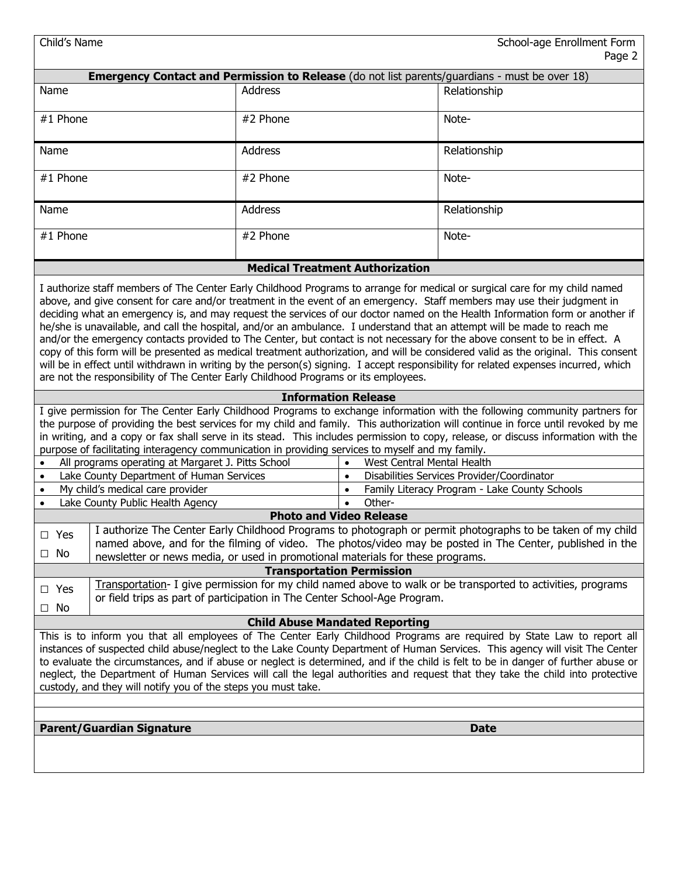| Child's Name<br>School-age Enrollment Form<br>Page 2                                                                                                                                                                                                                                                                                                                                                                                                                                                                                                                                                                                                                                                                                                                                                                                                                                                                                                                                                                  |                                                                                                                                                                                             |                                         |                                               |  |  |  |  |
|-----------------------------------------------------------------------------------------------------------------------------------------------------------------------------------------------------------------------------------------------------------------------------------------------------------------------------------------------------------------------------------------------------------------------------------------------------------------------------------------------------------------------------------------------------------------------------------------------------------------------------------------------------------------------------------------------------------------------------------------------------------------------------------------------------------------------------------------------------------------------------------------------------------------------------------------------------------------------------------------------------------------------|---------------------------------------------------------------------------------------------------------------------------------------------------------------------------------------------|-----------------------------------------|-----------------------------------------------|--|--|--|--|
| <b>Emergency Contact and Permission to Release</b> (do not list parents/guardians - must be over 18)                                                                                                                                                                                                                                                                                                                                                                                                                                                                                                                                                                                                                                                                                                                                                                                                                                                                                                                  |                                                                                                                                                                                             |                                         |                                               |  |  |  |  |
| Name                                                                                                                                                                                                                                                                                                                                                                                                                                                                                                                                                                                                                                                                                                                                                                                                                                                                                                                                                                                                                  | Address                                                                                                                                                                                     |                                         | Relationship                                  |  |  |  |  |
| #1 Phone                                                                                                                                                                                                                                                                                                                                                                                                                                                                                                                                                                                                                                                                                                                                                                                                                                                                                                                                                                                                              | #2 Phone                                                                                                                                                                                    |                                         | Note-                                         |  |  |  |  |
| Name                                                                                                                                                                                                                                                                                                                                                                                                                                                                                                                                                                                                                                                                                                                                                                                                                                                                                                                                                                                                                  | <b>Address</b>                                                                                                                                                                              |                                         | Relationship                                  |  |  |  |  |
| #1 Phone                                                                                                                                                                                                                                                                                                                                                                                                                                                                                                                                                                                                                                                                                                                                                                                                                                                                                                                                                                                                              | #2 Phone                                                                                                                                                                                    |                                         | Note-                                         |  |  |  |  |
| Name                                                                                                                                                                                                                                                                                                                                                                                                                                                                                                                                                                                                                                                                                                                                                                                                                                                                                                                                                                                                                  | Address                                                                                                                                                                                     |                                         | Relationship                                  |  |  |  |  |
| #1 Phone                                                                                                                                                                                                                                                                                                                                                                                                                                                                                                                                                                                                                                                                                                                                                                                                                                                                                                                                                                                                              | #2 Phone                                                                                                                                                                                    |                                         | Note-                                         |  |  |  |  |
|                                                                                                                                                                                                                                                                                                                                                                                                                                                                                                                                                                                                                                                                                                                                                                                                                                                                                                                                                                                                                       | <b>Medical Treatment Authorization</b>                                                                                                                                                      |                                         |                                               |  |  |  |  |
| I authorize staff members of The Center Early Childhood Programs to arrange for medical or surgical care for my child named<br>above, and give consent for care and/or treatment in the event of an emergency. Staff members may use their judgment in<br>deciding what an emergency is, and may request the services of our doctor named on the Health Information form or another if<br>he/she is unavailable, and call the hospital, and/or an ambulance. I understand that an attempt will be made to reach me<br>and/or the emergency contacts provided to The Center, but contact is not necessary for the above consent to be in effect. A<br>copy of this form will be presented as medical treatment authorization, and will be considered valid as the original. This consent<br>will be in effect until withdrawn in writing by the person(s) signing. I accept responsibility for related expenses incurred, which<br>are not the responsibility of The Center Early Childhood Programs or its employees. |                                                                                                                                                                                             |                                         |                                               |  |  |  |  |
|                                                                                                                                                                                                                                                                                                                                                                                                                                                                                                                                                                                                                                                                                                                                                                                                                                                                                                                                                                                                                       | <b>Information Release</b>                                                                                                                                                                  |                                         |                                               |  |  |  |  |
| I give permission for The Center Early Childhood Programs to exchange information with the following community partners for<br>the purpose of providing the best services for my child and family. This authorization will continue in force until revoked by me<br>in writing, and a copy or fax shall serve in its stead. This includes permission to copy, release, or discuss information with the<br>purpose of facilitating interagency communication in providing services to myself and my family.                                                                                                                                                                                                                                                                                                                                                                                                                                                                                                            |                                                                                                                                                                                             |                                         |                                               |  |  |  |  |
| All programs operating at Margaret J. Pitts School                                                                                                                                                                                                                                                                                                                                                                                                                                                                                                                                                                                                                                                                                                                                                                                                                                                                                                                                                                    |                                                                                                                                                                                             | West Central Mental Health<br>$\bullet$ |                                               |  |  |  |  |
| Lake County Department of Human Services<br>$\bullet$                                                                                                                                                                                                                                                                                                                                                                                                                                                                                                                                                                                                                                                                                                                                                                                                                                                                                                                                                                 | $\bullet$                                                                                                                                                                                   |                                         | Disabilities Services Provider/Coordinator    |  |  |  |  |
| My child's medical care provider<br>$\bullet$                                                                                                                                                                                                                                                                                                                                                                                                                                                                                                                                                                                                                                                                                                                                                                                                                                                                                                                                                                         |                                                                                                                                                                                             | $\bullet$                               | Family Literacy Program - Lake County Schools |  |  |  |  |
| Lake County Public Health Agency                                                                                                                                                                                                                                                                                                                                                                                                                                                                                                                                                                                                                                                                                                                                                                                                                                                                                                                                                                                      |                                                                                                                                                                                             | Other-<br>$\bullet$                     |                                               |  |  |  |  |
| <b>Photo and Video Release</b>                                                                                                                                                                                                                                                                                                                                                                                                                                                                                                                                                                                                                                                                                                                                                                                                                                                                                                                                                                                        |                                                                                                                                                                                             |                                         |                                               |  |  |  |  |
| $\Box$ Yes                                                                                                                                                                                                                                                                                                                                                                                                                                                                                                                                                                                                                                                                                                                                                                                                                                                                                                                                                                                                            | I authorize The Center Early Childhood Programs to photograph or permit photographs to be taken of my child                                                                                 |                                         |                                               |  |  |  |  |
| $\Box$ No                                                                                                                                                                                                                                                                                                                                                                                                                                                                                                                                                                                                                                                                                                                                                                                                                                                                                                                                                                                                             | named above, and for the filming of video. The photos/video may be posted in The Center, published in the<br>newsletter or news media, or used in promotional materials for these programs. |                                         |                                               |  |  |  |  |
| <b>Transportation Permission</b>                                                                                                                                                                                                                                                                                                                                                                                                                                                                                                                                                                                                                                                                                                                                                                                                                                                                                                                                                                                      |                                                                                                                                                                                             |                                         |                                               |  |  |  |  |
| Transportation- I give permission for my child named above to walk or be transported to activities, programs<br>$\Box$ Yes<br>or field trips as part of participation in The Center School-Age Program.<br>$\Box$ No                                                                                                                                                                                                                                                                                                                                                                                                                                                                                                                                                                                                                                                                                                                                                                                                  |                                                                                                                                                                                             |                                         |                                               |  |  |  |  |
| <b>Child Abuse Mandated Reporting</b>                                                                                                                                                                                                                                                                                                                                                                                                                                                                                                                                                                                                                                                                                                                                                                                                                                                                                                                                                                                 |                                                                                                                                                                                             |                                         |                                               |  |  |  |  |
| This is to inform you that all employees of The Center Early Childhood Programs are required by State Law to report all<br>instances of suspected child abuse/neglect to the Lake County Department of Human Services. This agency will visit The Center<br>to evaluate the circumstances, and if abuse or neglect is determined, and if the child is felt to be in danger of further abuse or<br>neglect, the Department of Human Services will call the legal authorities and request that they take the child into protective<br>custody, and they will notify you of the steps you must take.                                                                                                                                                                                                                                                                                                                                                                                                                     |                                                                                                                                                                                             |                                         |                                               |  |  |  |  |
|                                                                                                                                                                                                                                                                                                                                                                                                                                                                                                                                                                                                                                                                                                                                                                                                                                                                                                                                                                                                                       |                                                                                                                                                                                             |                                         |                                               |  |  |  |  |
| <b>Parent/Guardian Signature</b><br><b>Date</b>                                                                                                                                                                                                                                                                                                                                                                                                                                                                                                                                                                                                                                                                                                                                                                                                                                                                                                                                                                       |                                                                                                                                                                                             |                                         |                                               |  |  |  |  |
|                                                                                                                                                                                                                                                                                                                                                                                                                                                                                                                                                                                                                                                                                                                                                                                                                                                                                                                                                                                                                       |                                                                                                                                                                                             |                                         |                                               |  |  |  |  |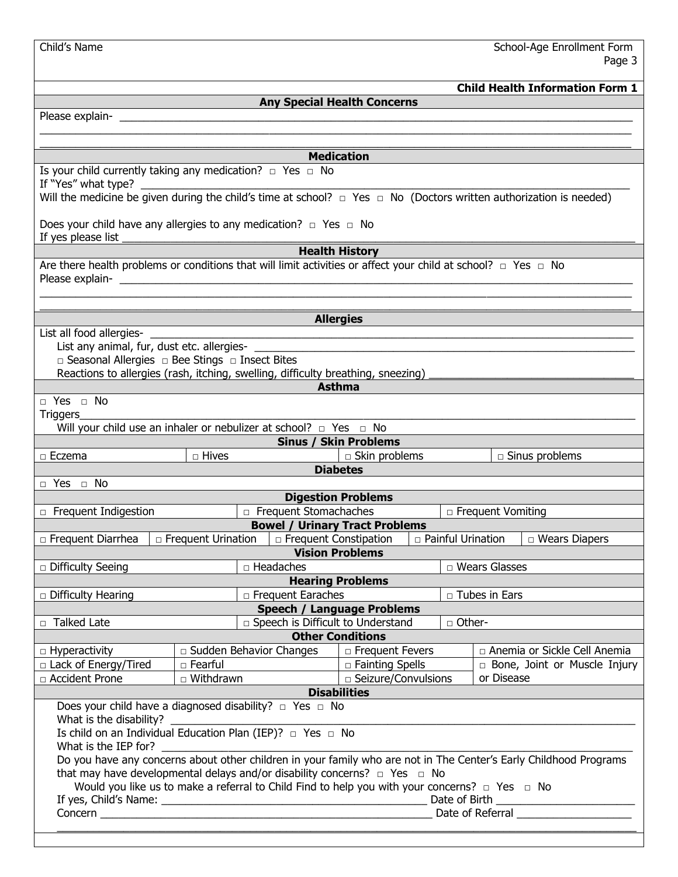| Child's Name                                                                                                                                                                                             | School-Age Enrollment Form<br>Page 3            |                                       |                           |                 |          |                                     |                                                                                                                      |  |
|----------------------------------------------------------------------------------------------------------------------------------------------------------------------------------------------------------|-------------------------------------------------|---------------------------------------|---------------------------|-----------------|----------|-------------------------------------|----------------------------------------------------------------------------------------------------------------------|--|
|                                                                                                                                                                                                          |                                                 |                                       |                           |                 |          |                                     | <b>Child Health Information Form 1</b>                                                                               |  |
| <b>Any Special Health Concerns</b>                                                                                                                                                                       |                                                 |                                       |                           |                 |          |                                     |                                                                                                                      |  |
|                                                                                                                                                                                                          |                                                 |                                       |                           |                 |          |                                     |                                                                                                                      |  |
|                                                                                                                                                                                                          |                                                 |                                       |                           |                 |          |                                     |                                                                                                                      |  |
|                                                                                                                                                                                                          |                                                 |                                       |                           |                 |          |                                     |                                                                                                                      |  |
| <b>Medication</b>                                                                                                                                                                                        |                                                 |                                       |                           |                 |          |                                     |                                                                                                                      |  |
| Is your child currently taking any medication? $\Box$ Yes $\Box$ No                                                                                                                                      |                                                 |                                       |                           |                 |          |                                     |                                                                                                                      |  |
|                                                                                                                                                                                                          |                                                 |                                       |                           |                 |          |                                     |                                                                                                                      |  |
| Will the medicine be given during the child's time at school? $\Box$ Yes $\Box$ No (Doctors written authorization is needed)                                                                             |                                                 |                                       |                           |                 |          |                                     |                                                                                                                      |  |
| Does your child have any allergies to any medication? $\Box$ Yes $\Box$ No                                                                                                                               |                                                 |                                       |                           |                 |          |                                     |                                                                                                                      |  |
|                                                                                                                                                                                                          |                                                 |                                       | <b>Health History</b>     |                 |          |                                     |                                                                                                                      |  |
| Are there health problems or conditions that will limit activities or affect your child at school? $\Box$ Yes $\Box$ No                                                                                  |                                                 |                                       |                           |                 |          |                                     |                                                                                                                      |  |
|                                                                                                                                                                                                          |                                                 |                                       |                           |                 |          |                                     |                                                                                                                      |  |
|                                                                                                                                                                                                          |                                                 |                                       |                           |                 |          |                                     |                                                                                                                      |  |
|                                                                                                                                                                                                          |                                                 |                                       |                           |                 |          |                                     |                                                                                                                      |  |
|                                                                                                                                                                                                          |                                                 | <b>Allergies</b>                      |                           |                 |          |                                     |                                                                                                                      |  |
| List all food allergies-                                                                                                                                                                                 | <u> 1980 - Johann Barnett, fransk politik (</u> |                                       |                           |                 |          |                                     | <u> 1989 - Jan James James James James James James James James James James James James James James James James J</u> |  |
|                                                                                                                                                                                                          |                                                 |                                       |                           |                 |          |                                     |                                                                                                                      |  |
| $\Box$ Seasonal Allergies $\Box$ Bee Stings $\Box$ Insect Bites                                                                                                                                          |                                                 |                                       |                           |                 |          |                                     |                                                                                                                      |  |
| Reactions to allergies (rash, itching, swelling, difficulty breathing, sneezing) _____________________________                                                                                           |                                                 |                                       |                           |                 |          |                                     |                                                                                                                      |  |
|                                                                                                                                                                                                          |                                                 | <b>Asthma</b>                         |                           |                 |          |                                     |                                                                                                                      |  |
| □ Yes □ No                                                                                                                                                                                               |                                                 |                                       |                           |                 |          |                                     |                                                                                                                      |  |
| Triggers_                                                                                                                                                                                                |                                                 |                                       |                           |                 |          |                                     |                                                                                                                      |  |
| Will your child use an inhaler or nebulizer at school? $\Box$ Yes $\Box$ No                                                                                                                              |                                                 |                                       |                           |                 |          |                                     |                                                                                                                      |  |
|                                                                                                                                                                                                          |                                                 | <b>Sinus / Skin Problems</b>          |                           |                 |          |                                     |                                                                                                                      |  |
| $\Box$ Eczema                                                                                                                                                                                            | $\Box$ Hives                                    |                                       | $\Box$ Skin problems      |                 |          |                                     | $\Box$ Sinus problems                                                                                                |  |
|                                                                                                                                                                                                          |                                                 |                                       | <b>Diabetes</b>           |                 |          |                                     |                                                                                                                      |  |
| $\Box$ Yes $\Box$ No                                                                                                                                                                                     |                                                 |                                       |                           |                 |          |                                     |                                                                                                                      |  |
|                                                                                                                                                                                                          |                                                 |                                       | <b>Digestion Problems</b> |                 |          |                                     |                                                                                                                      |  |
| $\Box$ Frequent Indigestion                                                                                                                                                                              |                                                 | Frequent Stomachaches                 |                           |                 |          | □ Frequent Vomiting                 |                                                                                                                      |  |
|                                                                                                                                                                                                          |                                                 | <b>Bowel / Urinary Tract Problems</b> |                           |                 |          |                                     |                                                                                                                      |  |
| $\Box$ Frequent Diarrhea $\Box$ Erequent Urination $\Box$ Erequent Constipation $\Box$ Painful Urination $\Box$ Wears Diapers                                                                            |                                                 |                                       |                           |                 |          |                                     |                                                                                                                      |  |
|                                                                                                                                                                                                          |                                                 | <b>Vision Problems</b>                |                           |                 |          |                                     |                                                                                                                      |  |
| $\Box$ Difficulty Seeing                                                                                                                                                                                 |                                                 | □ Headaches                           |                           |                 |          | □ Wears Glasses                     |                                                                                                                      |  |
|                                                                                                                                                                                                          |                                                 | <b>Hearing Problems</b>               |                           |                 |          |                                     |                                                                                                                      |  |
| $\Box$ Difficulty Hearing                                                                                                                                                                                |                                                 | □ Frequent Earaches                   |                           | □ Tubes in Ears |          |                                     |                                                                                                                      |  |
|                                                                                                                                                                                                          |                                                 | Speech / Language Problems            |                           |                 |          |                                     |                                                                                                                      |  |
| □ Talked Late                                                                                                                                                                                            |                                                 | □ Speech is Difficult to Understand   |                           |                 | □ Other- |                                     |                                                                                                                      |  |
|                                                                                                                                                                                                          |                                                 | <b>Other Conditions</b>               |                           |                 |          |                                     |                                                                                                                      |  |
| □ Hyperactivity                                                                                                                                                                                          |                                                 | $\Box$ Sudden Behavior Changes        | □ Frequent Fevers         |                 |          |                                     | □ Anemia or Sickle Cell Anemia                                                                                       |  |
| □ Lack of Energy/Tired                                                                                                                                                                                   | $\square$ Fearful                               |                                       | □ Fainting Spells         |                 |          | $\Box$ Bone, Joint or Muscle Injury |                                                                                                                      |  |
| □ Accident Prone                                                                                                                                                                                         | □ Withdrawn                                     |                                       | □ Seizure/Convulsions     |                 |          | or Disease                          |                                                                                                                      |  |
|                                                                                                                                                                                                          |                                                 | <b>Disabilities</b>                   |                           |                 |          |                                     |                                                                                                                      |  |
| Does your child have a diagnosed disability? $\Box$ Yes $\Box$ No                                                                                                                                        |                                                 |                                       |                           |                 |          |                                     |                                                                                                                      |  |
| What is the disability?                                                                                                                                                                                  |                                                 |                                       |                           |                 |          |                                     |                                                                                                                      |  |
| Is child on an Individual Education Plan (IEP)? $\Box$ Yes $\Box$ No                                                                                                                                     |                                                 |                                       |                           |                 |          |                                     |                                                                                                                      |  |
| What is the IEP for?                                                                                                                                                                                     |                                                 |                                       |                           |                 |          |                                     |                                                                                                                      |  |
| Do you have any concerns about other children in your family who are not in The Center's Early Childhood Programs<br>that may have developmental delays and/or disability concerns? $\Box$ Yes $\Box$ No |                                                 |                                       |                           |                 |          |                                     |                                                                                                                      |  |
|                                                                                                                                                                                                          |                                                 |                                       |                           |                 |          |                                     |                                                                                                                      |  |
| Would you like us to make a referral to Child Find to help you with your concerns? $\Box$ Yes $\Box$ No                                                                                                  |                                                 |                                       |                           |                 |          |                                     |                                                                                                                      |  |
|                                                                                                                                                                                                          |                                                 |                                       |                           |                 |          |                                     |                                                                                                                      |  |
|                                                                                                                                                                                                          |                                                 |                                       |                           |                 |          |                                     |                                                                                                                      |  |
|                                                                                                                                                                                                          |                                                 |                                       |                           |                 |          |                                     |                                                                                                                      |  |